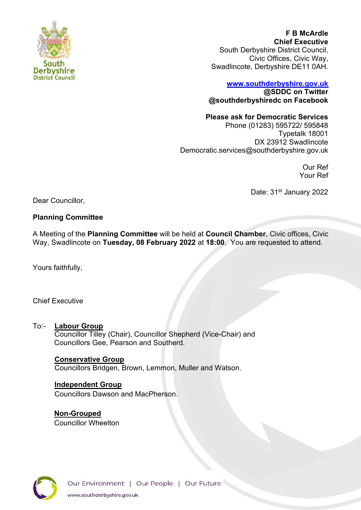

**F B McArdle Chief Executive** South Derbyshire District Council, Civic Offices, Civic Way, Swadlincote, Derbyshire DE11 0AH.

#### **[www.southderbyshire.gov.uk](http://www.southderbyshire.gov.uk/) @SDDC on Twitter**

**@southderbyshiredc on Facebook**

# **Please ask for Democratic Services**

Phone (01283) 595722/ 595848 Typetalk 18001 DX 23912 Swadlincote Democratic.services@southderbyshire.gov.uk

> Our Ref Your Ref

Date: 31<sup>st</sup> January 2022

Dear Councillor,

# **Planning Committee**

A Meeting of the **Planning Committee** will be held at **Council Chamber**, Civic offices, Civic Way, Swadlincote on **Tuesday, 08 February 2022** at **18:00**. You are requested to attend.

Yours faithfully,

# Chief Executive

# To:- **Labour Group**

Councillor Tilley (Chair), Councillor Shepherd (Vice-Chair) and Councillors Gee, Pearson and Southerd.

## **Conservative Group**

Councillors Bridgen, Brown, Lemmon, Muller and Watson.

## **Independent Group**

Councillors Dawson and MacPherson.

**Non-Grouped** Councillor Wheelton